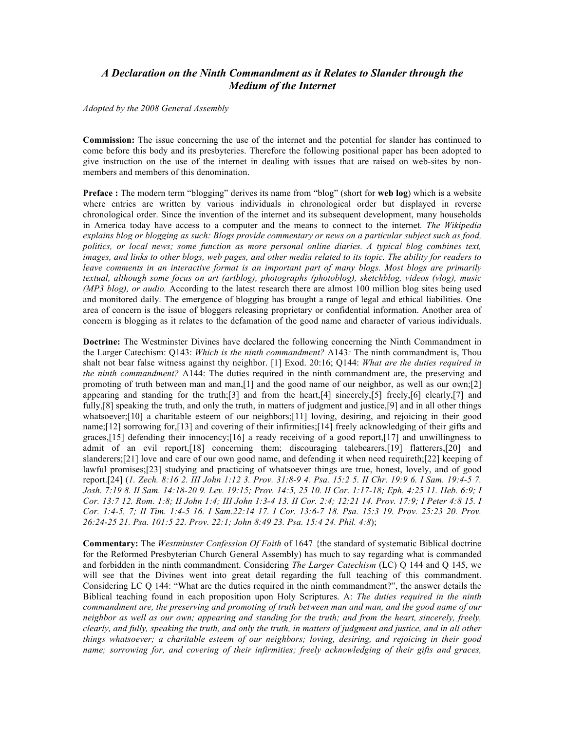## *A Declaration on the Ninth Commandment as it Relates to Slander through the Medium of the Internet*

*Adopted by the 2008 General Assembly* 

**Commission:** The issue concerning the use of the internet and the potential for slander has continued to come before this body and its presbyteries. Therefore the following positional paper has been adopted to give instruction on the use of the internet in dealing with issues that are raised on web-sites by nonmembers and members of this denomination.

**Preface :** The modern term "blogging" derives its name from "blog" (short for **web log**) which is a website where entries are written by various individuals in chronological order but displayed in reverse chronological order. Since the invention of the internet and its subsequent development, many households in America today have access to a computer and the means to connect to the internet*. The Wikipedia explains blog or blogging as such: Blogs provide commentary or news on a particular subject such as food, politics, or local news; some function as more personal online diaries. A typical blog combines text, images, and links to other blogs, web pages, and other media related to its topic. The ability for readers to leave comments in an interactive format is an important part of many blogs. Most blogs are primarily textual, although some focus on art (artblog), photographs (photoblog), sketchblog, videos (vlog), music (MP3 blog), or audio.* According to the latest research there are almost 100 million blog sites being used and monitored daily. The emergence of blogging has brought a range of legal and ethical liabilities. One area of concern is the issue of bloggers releasing proprietary or confidential information. Another area of concern is blogging as it relates to the defamation of the good name and character of various individuals.

**Doctrine:** The Westminster Divines have declared the following concerning the Ninth Commandment in the Larger Catechism: Q143: *Which is the ninth commandment?* A143*:* The ninth commandment is, Thou shalt not bear false witness against thy neighbor. [1] Exod. 20:16; Q144: *What are the duties required in the ninth commandment?* A144: The duties required in the ninth commandment are, the preserving and promoting of truth between man and man,[1] and the good name of our neighbor, as well as our own;[2] appearing and standing for the truth;[3] and from the heart,[4] sincerely,[5] freely,[6] clearly,[7] and fully, [8] speaking the truth, and only the truth, in matters of judgment and justice, [9] and in all other things whatsoever;[10] a charitable esteem of our neighbors;[11] loving, desiring, and rejoicing in their good name;[12] sorrowing for,[13] and covering of their infirmities;[14] freely acknowledging of their gifts and graces,[15] defending their innocency;[16] a ready receiving of a good report,[17] and unwillingness to admit of an evil report,[18] concerning them; discouraging talebearers,[19] flatterers,[20] and slanderers;[21] love and care of our own good name, and defending it when need requireth;[22] keeping of lawful promises;[23] studying and practicing of whatsoever things are true, honest, lovely, and of good report.[24] (*1. Zech. 8:16 2. III John 1:12 3. Prov. 31:8-9 4. Psa. 15:2 5. II Chr. 19:9 6. I Sam. 19:4-5 7. Josh. 7:19 8. II Sam. 14:18-20 9. Lev. 19:15; Prov. 14:5, 25 10. II Cor. 1:17-18; Eph. 4:25 11. Heb. 6:9; I Cor. 13:7 12. Rom. 1:8; II John 1:4; III John 1:3-4 13. II Cor. 2:4; 12:21 14. Prov. 17:9; I Peter 4:8 15. I Cor. 1:4-5, 7; II Tim. 1:4-5 16. I Sam.22:14 17. I Cor. 13:6-7 18. Psa. 15:3 19. Prov. 25:23 20. Prov. 26:24-25 21. Psa. 101:5 22. Prov. 22:1; John 8:49 23. Psa. 15:4 24. Phil. 4:8*);

**Commentary:** The *Westminster Confession Of Faith* of 1647 {the standard of systematic Biblical doctrine for the Reformed Presbyterian Church General Assembly) has much to say regarding what is commanded and forbidden in the ninth commandment. Considering *The Larger Catechism* (LC) Q 144 and Q 145, we will see that the Divines went into great detail regarding the full teaching of this commandment. Considering LC Q 144: "What are the duties required in the ninth commandment?", the answer details the Biblical teaching found in each proposition upon Holy Scriptures. A: *The duties required in the ninth commandment are, the preserving and promoting of truth between man and man, and the good name of our neighbor as well as our own; appearing and standing for the truth; and from the heart, sincerely, freely, clearly, and fully, speaking the truth, and only the truth, in matters of judgment and justice, and in all other things whatsoever; a charitable esteem of our neighbors; loving, desiring, and rejoicing in their good name; sorrowing for, and covering of their infirmities; freely acknowledging of their gifts and graces,*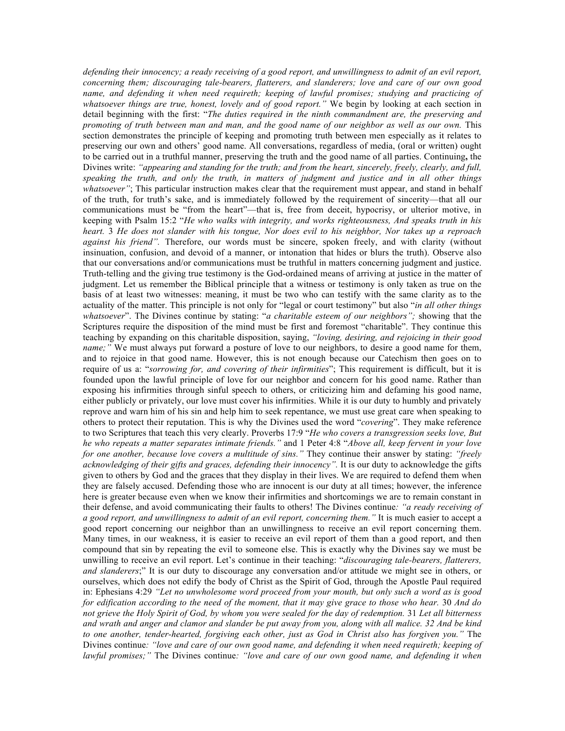*defending their innocency; a ready receiving of a good report, and unwillingness to admit of an evil report, concerning them; discouraging tale-bearers, flatterers, and slanderers; love and care of our own good name, and defending it when need requireth; keeping of lawful promises; studying and practicing of whatsoever things are true, honest, lovely and of good report."* We begin by looking at each section in detail beginning with the first: "*The duties required in the ninth commandment are, the preserving and promoting of truth between man and man, and the good name of our neighbor as well as our own.* This section demonstrates the principle of keeping and promoting truth between men especially as it relates to preserving our own and others' good name. All conversations, regardless of media, (oral or written) ought to be carried out in a truthful manner, preserving the truth and the good name of all parties. Continuing**,** the Divines write: *"appearing and standing for the truth; and from the heart, sincerely, freely, clearly, and full, speaking the truth, and only the truth, in matters of judgment and justice and in all other things whatsoever"*; This particular instruction makes clear that the requirement must appear, and stand in behalf of the truth, for truth's sake, and is immediately followed by the requirement of sincerity—that all our communications must be "from the heart"—that is, free from deceit, hypocrisy, or ulterior motive, in keeping with Psalm 15:2 "*He who walks with integrity, and works righteousness, And speaks truth in his heart.* 3 *He does not slander with his tongue, Nor does evil to his neighbor, Nor takes up a reproach against his friend".* Therefore, our words must be sincere, spoken freely, and with clarity (without insinuation, confusion, and devoid of a manner, or intonation that hides or blurs the truth). Observe also that our conversations and/or communications must be truthful in matters concerning judgment and justice. Truth-telling and the giving true testimony is the God-ordained means of arriving at justice in the matter of judgment. Let us remember the Biblical principle that a witness or testimony is only taken as true on the basis of at least two witnesses: meaning, it must be two who can testify with the same clarity as to the actuality of the matter. This principle is not only for "legal or court testimony" but also "*in all other things whatsoever*". The Divines continue by stating: "*a charitable esteem of our neighbors";* showing that the Scriptures require the disposition of the mind must be first and foremost "charitable". They continue this teaching by expanding on this charitable disposition, saying, *"loving, desiring, and rejoicing in their good name;"* We must always put forward a posture of love to our neighbors, to desire a good name for them, and to rejoice in that good name. However, this is not enough because our Catechism then goes on to require of us a: "*sorrowing for, and covering of their infirmities*"; This requirement is difficult, but it is founded upon the lawful principle of love for our neighbor and concern for his good name. Rather than exposing his infirmities through sinful speech to others, or criticizing him and defaming his good name, either publicly or privately, our love must cover his infirmities. While it is our duty to humbly and privately reprove and warn him of his sin and help him to seek repentance, we must use great care when speaking to others to protect their reputation. This is why the Divines used the word "*covering*". They make reference to two Scriptures that teach this very clearly. Proverbs 17:9 "*He who covers a transgression seeks love, But he who repeats a matter separates intimate friends."* and 1 Peter 4:8 "*Above all, keep fervent in your love for one another, because love covers a multitude of sins."* They continue their answer by stating: *"freely acknowledging of their gifts and graces, defending their innocency".* It is our duty to acknowledge the gifts given to others by God and the graces that they display in their lives. We are required to defend them when they are falsely accused. Defending those who are innocent is our duty at all times; however, the inference here is greater because even when we know their infirmities and shortcomings we are to remain constant in their defense, and avoid communicating their faults to others! The Divines continue*: "a ready receiving of a good report, and unwillingness to admit of an evil report, concerning them."* It is much easier to accept a good report concerning our neighbor than an unwillingness to receive an evil report concerning them. Many times, in our weakness, it is easier to receive an evil report of them than a good report, and then compound that sin by repeating the evil to someone else. This is exactly why the Divines say we must be unwilling to receive an evil report. Let's continue in their teaching: "*discouraging tale-bearers, flatterers, and slanderers*;" It is our duty to discourage any conversation and/or attitude we might see in others, or ourselves, which does not edify the body of Christ as the Spirit of God, through the Apostle Paul required in: Ephesians 4:29 *"Let no unwholesome word proceed from your mouth, but only such a word as is good for edification according to the need of the moment, that it may give grace to those who hear.* 30 *And do not grieve the Holy Spirit of God, by whom you were sealed for the day of redemption.* 31 *Let all bitterness and wrath and anger and clamor and slander be put away from you, along with all malice. 32 And be kind to one another, tender-hearted, forgiving each other, just as God in Christ also has forgiven you."* The Divines continue*: "love and care of our own good name, and defending it when need requireth; keeping of lawful promises;"* The Divines continue*: "love and care of our own good name, and defending it when*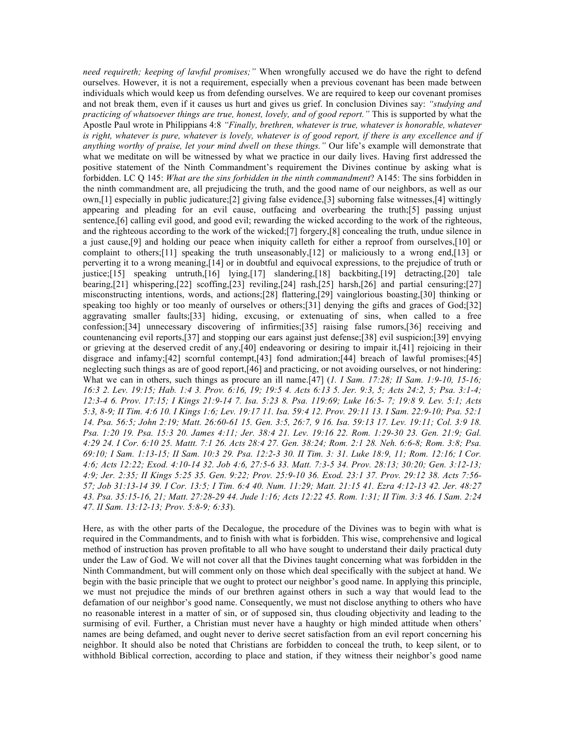*need requireth; keeping of lawful promises;"* When wrongfully accused we do have the right to defend ourselves. However, it is not a requirement, especially when a previous covenant has been made between individuals which would keep us from defending ourselves. We are required to keep our covenant promises and not break them, even if it causes us hurt and gives us grief. In conclusion Divines say: *"studying and practicing of whatsoever things are true, honest, lovely, and of good report."* This is supported by what the Apostle Paul wrote in Philippians 4:8 *"Finally, brethren, whatever is true, whatever is honorable, whatever is right, whatever is pure, whatever is lovely, whatever is of good report, if there is any excellence and if anything worthy of praise, let your mind dwell on these things.*" Our life's example will demonstrate that what we meditate on will be witnessed by what we practice in our daily lives. Having first addressed the positive statement of the Ninth Commandment's requirement the Divines continue by asking what is forbidden. LC Q 145: *What are the sins forbidden in the ninth commandment*? A145: The sins forbidden in the ninth commandment are, all prejudicing the truth, and the good name of our neighbors, as well as our own,[1] especially in public judicature;[2] giving false evidence,[3] suborning false witnesses,[4] wittingly appearing and pleading for an evil cause, outfacing and overbearing the truth;[5] passing unjust sentence,[6] calling evil good, and good evil; rewarding the wicked according to the work of the righteous, and the righteous according to the work of the wicked;[7] forgery,[8] concealing the truth, undue silence in a just cause,[9] and holding our peace when iniquity calleth for either a reproof from ourselves,[10] or complaint to others;[11] speaking the truth unseasonably,[12] or maliciously to a wrong end,[13] or perverting it to a wrong meaning,[14] or in doubtful and equivocal expressions, to the prejudice of truth or justice;[15] speaking untruth,[16] lying,[17] slandering,[18] backbiting,[19] detracting,[20] tale bearing,[21] whispering,[22] scoffing,[23] reviling,[24] rash,[25] harsh,[26] and partial censuring;[27] misconstructing intentions, words, and actions;[28] flattering,[29] vainglorious boasting,[30] thinking or speaking too highly or too meanly of ourselves or others;[31] denying the gifts and graces of God;[32] aggravating smaller faults;[33] hiding, excusing, or extenuating of sins, when called to a free confession;[34] unnecessary discovering of infirmities;[35] raising false rumors,[36] receiving and countenancing evil reports,[37] and stopping our ears against just defense;[38] evil suspicion;[39] envying or grieving at the deserved credit of any,[40] endeavoring or desiring to impair it,[41] rejoicing in their disgrace and infamy;[42] scornful contempt,[43] fond admiration;[44] breach of lawful promises;[45] neglecting such things as are of good report,[46] and practicing, or not avoiding ourselves, or not hindering: What we can in others, such things as procure an ill name.<sup>[47]</sup> (*1. I Sam. 17:28; II Sam. 1:9-10, 15-16; 16:3 2. Lev. 19:15; Hab. 1:4 3. Prov. 6:16, 19; 19:5 4. Acts 6:13 5. Jer. 9:3, 5; Acts 24:2, 5; Psa. 3:1-4; 12:3-4 6. Prov. 17:15; I Kings 21:9-14 7. Isa. 5:23 8. Psa. 119:69; Luke 16:5- 7; 19:8 9. Lev. 5:1; Acts 5:3, 8-9; II Tim. 4:6 10. I Kings 1:6; Lev. 19:17 11. Isa. 59:4 12. Prov. 29:11 13. I Sam. 22:9-10; Psa. 52:1 14. Psa. 56:5; John 2:19; Matt. 26:60-61 15. Gen. 3:5, 26:7, 9 16. Isa. 59:13 17. Lev. 19:11; Col. 3:9 18. Psa. 1:20 19. Psa. 15:3 20. James 4:11; Jer. 38:4 21. Lev. 19:16 22. Rom. 1:29-30 23. Gen. 21:9; Gal. 4:29 24. I Cor. 6:10 25. Mattt. 7:1 26. Acts 28:4 27. Gen. 38:24; Rom. 2:1 28. Neh. 6:6-8; Rom. 3:8; Psa. 69:10; I Sam. 1:13-15; II Sam. 10:3 29. Psa. 12:2-3 30. II Tim. 3: 31. Luke 18:9, 11; Rom. 12:16; I Cor. 4:6; Acts 12:22; Exod. 4:10-14 32. Job 4:6, 27:5-6 33. Matt. 7:3-5 34. Prov. 28:13; 30:20; Gen. 3:12-13; 4:9; Jer. 2:35; II Kings 5:25 35. Gen. 9:22; Prov. 25:9-10 36. Exod. 23:1 37. Prov. 29:12 38. Acts 7:56- 57; Job 31:13-14 39. I Cor. 13:5; I Tim. 6:4 40. Num. 11:29; Matt. 21:15 41. Ezra 4:12-13 42. Jer. 48:27 43. Psa. 35:15-16, 21; Matt. 27:28-29 44. Jude 1:16; Acts 12:22 45. Rom. 1:31; II Tim. 3:3 46. I Sam. 2:24 47. II Sam. 13:12-13; Prov. 5:8-9; 6:33*).

Here, as with the other parts of the Decalogue, the procedure of the Divines was to begin with what is required in the Commandments, and to finish with what is forbidden. This wise, comprehensive and logical method of instruction has proven profitable to all who have sought to understand their daily practical duty under the Law of God. We will not cover all that the Divines taught concerning what was forbidden in the Ninth Commandment, but will comment only on those which deal specifically with the subject at hand. We begin with the basic principle that we ought to protect our neighbor's good name. In applying this principle, we must not prejudice the minds of our brethren against others in such a way that would lead to the defamation of our neighbor's good name. Consequently, we must not disclose anything to others who have no reasonable interest in a matter of sin, or of supposed sin, thus clouding objectivity and leading to the surmising of evil. Further, a Christian must never have a haughty or high minded attitude when others' names are being defamed, and ought never to derive secret satisfaction from an evil report concerning his neighbor. It should also be noted that Christians are forbidden to conceal the truth, to keep silent, or to withhold Biblical correction, according to place and station, if they witness their neighbor's good name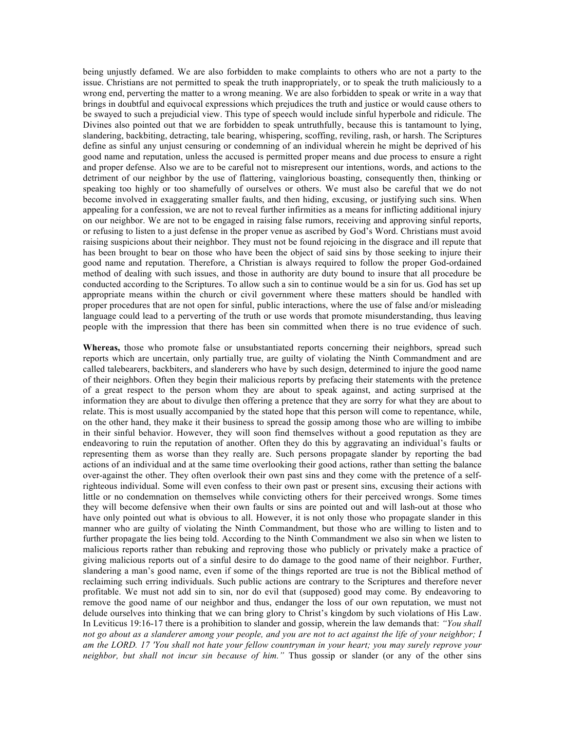being unjustly defamed. We are also forbidden to make complaints to others who are not a party to the issue. Christians are not permitted to speak the truth inappropriately, or to speak the truth maliciously to a wrong end, perverting the matter to a wrong meaning. We are also forbidden to speak or write in a way that brings in doubtful and equivocal expressions which prejudices the truth and justice or would cause others to be swayed to such a prejudicial view. This type of speech would include sinful hyperbole and ridicule. The Divines also pointed out that we are forbidden to speak untruthfully, because this is tantamount to lying, slandering, backbiting, detracting, tale bearing, whispering, scoffing, reviling, rash, or harsh. The Scriptures define as sinful any unjust censuring or condemning of an individual wherein he might be deprived of his good name and reputation, unless the accused is permitted proper means and due process to ensure a right and proper defense. Also we are to be careful not to misrepresent our intentions, words, and actions to the detriment of our neighbor by the use of flattering, vainglorious boasting, consequently then, thinking or speaking too highly or too shamefully of ourselves or others. We must also be careful that we do not become involved in exaggerating smaller faults, and then hiding, excusing, or justifying such sins. When appealing for a confession, we are not to reveal further infirmities as a means for inflicting additional injury on our neighbor. We are not to be engaged in raising false rumors, receiving and approving sinful reports, or refusing to listen to a just defense in the proper venue as ascribed by God's Word. Christians must avoid raising suspicions about their neighbor. They must not be found rejoicing in the disgrace and ill repute that has been brought to bear on those who have been the object of said sins by those seeking to injure their good name and reputation. Therefore, a Christian is always required to follow the proper God-ordained method of dealing with such issues, and those in authority are duty bound to insure that all procedure be conducted according to the Scriptures. To allow such a sin to continue would be a sin for us. God has set up appropriate means within the church or civil government where these matters should be handled with proper procedures that are not open for sinful, public interactions, where the use of false and/or misleading language could lead to a perverting of the truth or use words that promote misunderstanding, thus leaving people with the impression that there has been sin committed when there is no true evidence of such.

**Whereas,** those who promote false or unsubstantiated reports concerning their neighbors, spread such reports which are uncertain, only partially true, are guilty of violating the Ninth Commandment and are called talebearers, backbiters, and slanderers who have by such design, determined to injure the good name of their neighbors. Often they begin their malicious reports by prefacing their statements with the pretence of a great respect to the person whom they are about to speak against, and acting surprised at the information they are about to divulge then offering a pretence that they are sorry for what they are about to relate. This is most usually accompanied by the stated hope that this person will come to repentance, while, on the other hand, they make it their business to spread the gossip among those who are willing to imbibe in their sinful behavior. However, they will soon find themselves without a good reputation as they are endeavoring to ruin the reputation of another. Often they do this by aggravating an individual's faults or representing them as worse than they really are. Such persons propagate slander by reporting the bad actions of an individual and at the same time overlooking their good actions, rather than setting the balance over-against the other. They often overlook their own past sins and they come with the pretence of a selfrighteous individual. Some will even confess to their own past or present sins, excusing their actions with little or no condemnation on themselves while convicting others for their perceived wrongs. Some times they will become defensive when their own faults or sins are pointed out and will lash-out at those who have only pointed out what is obvious to all. However, it is not only those who propagate slander in this manner who are guilty of violating the Ninth Commandment, but those who are willing to listen and to further propagate the lies being told. According to the Ninth Commandment we also sin when we listen to malicious reports rather than rebuking and reproving those who publicly or privately make a practice of giving malicious reports out of a sinful desire to do damage to the good name of their neighbor. Further, slandering a man's good name, even if some of the things reported are true is not the Biblical method of reclaiming such erring individuals. Such public actions are contrary to the Scriptures and therefore never profitable. We must not add sin to sin, nor do evil that (supposed) good may come. By endeavoring to remove the good name of our neighbor and thus, endanger the loss of our own reputation, we must not delude ourselves into thinking that we can bring glory to Christ's kingdom by such violations of His Law. In Leviticus 19:16-17 there is a prohibition to slander and gossip, wherein the law demands that: *"You shall not go about as a slanderer among your people, and you are not to act against the life of your neighbor; I am the LORD. 17 'You shall not hate your fellow countryman in your heart; you may surely reprove your neighbor, but shall not incur sin because of him."* Thus gossip or slander (or any of the other sins